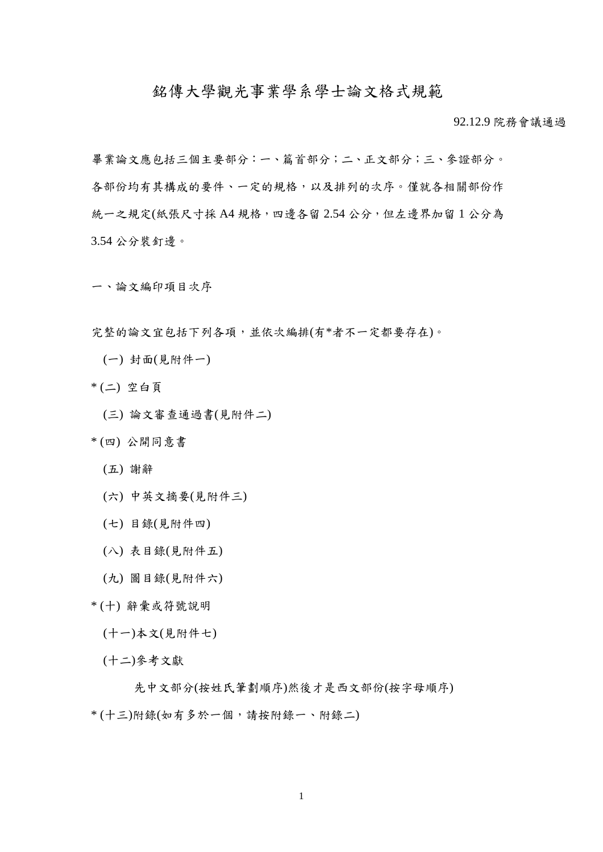## 銘傳大學觀光事業學系學士論文格式規範

92.12.9 院務會議通過

畢業論文應包括三個主要部分:一、篇首部分;二、正文部分;三、參證部分。 各部份均有其構成的要件、一定的規格,以及排列的次序。僅就各相關部份作 統一之規定(紙張尺寸採 A4 規格,四邊各留 2.54 公分,但左邊界加留 1 公分為 3.54 公分裝釘邊。

一、論文編印項目次序

完整的論文宜包括下列各項,並依次編排(有\*者不一定都要存在)。

- (一) 封面(見附件一)
- \* (二) 空白頁
	- (三) 論文審查通過書(見附件二)
- \* (四) 公開同意書
	- (五) 謝辭
	- (六) 中英文摘要(見附件三)
	- (七) 目錄(見附件四)
	- (八) 表目錄(見附件五)
	- (九) 圖目錄(見附件六)
- \* (十) 辭彙或符號說明
	- (十一)本文(見附件七)
	- (十二)參考文獻

先中文部分(按姓氏筆劃順序)然後才是西文部份(按字母順序)

\* (十三)附錄(如有多於一個,請按附錄一、附錄二)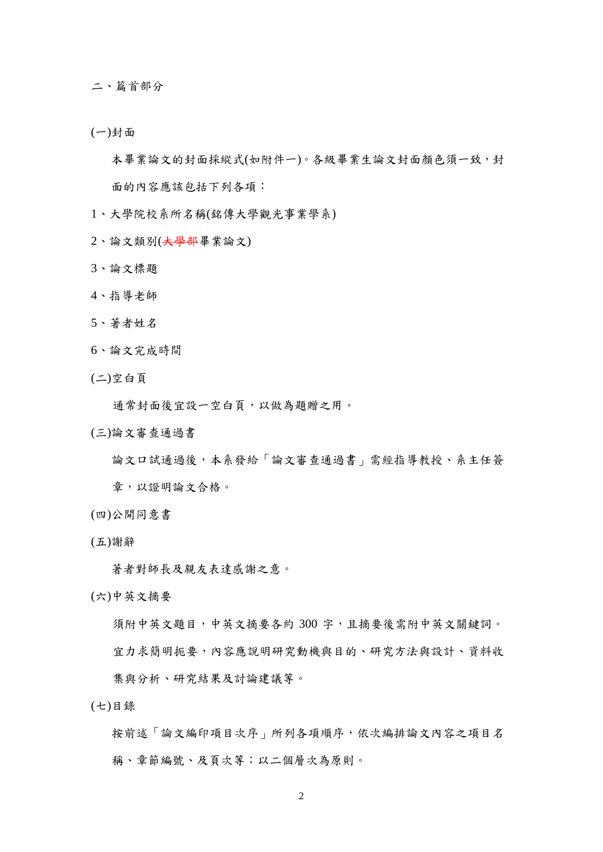二、篇首部分

(一)封面

本畢業論文的封面採縱式(如附件一)。各級畢業生論文封面顏色須一致,封 面的內容應該包括下列各項:

- 1、大學院校系所名稱(銘傳大學觀光事業學系)
- 2、論文類別(大學部畢業論文)
- 3、論文標題
- 4、指導老師
- 5、著者姓名
- 6、論文完成時間
- (二)空白頁

通常封面後宜設一空白頁,以做為題贈之用。

(三)論文審查通過書

論文口試通過後,本系發給「論文審查通過書」需經指導教授、系主任簽 章,以證明論文合格。

- (四)公開同意書
- (五)謝辭

著者對師長及親友表達感謝之意。

(六)中英文摘要

須附中英文題目,中英文摘要各約 300 字,且摘要後需附中英文關鍵詞。

宜力求簡明扼要,內容應說明研究動機與目的、研究方法與設計、資料收

集與分析、研究結果及討論建議等。

(七)目錄

按前述「論文編印項目次序」所列各項順序,依次編排論文內容之項目名 稱、章節編號、及頁次等;以二個層次為原則。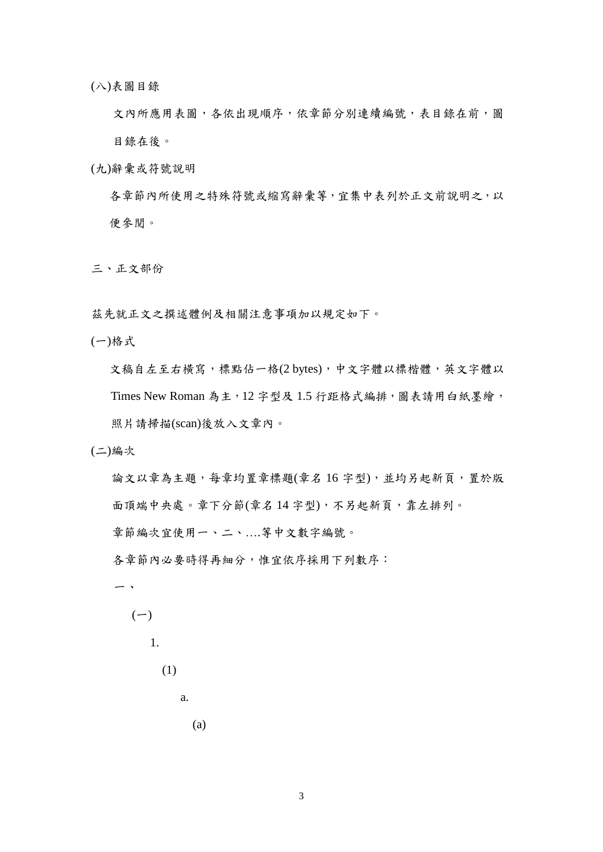(八)表圖目錄

文內所應用表圖,各依出現順序,依章節分別連續編號,表目錄在前,圖 目錄在後。

(九)辭彙或符號說明

各章節內所使用之特殊符號或縮寫辭彙等,宜集中表列於正文前說明之,以 便參閱。

三、正文部份

茲先就正文之撰述體例及相關注意事項加以規定如下。

(一)格式

文稿自左至右橫寫,標點佔一格(2 bytes),中文字體以標楷體,英文字體以 Times New Roman 為主, 12 字型及 1.5 行距格式編排,圖表請用白紙墨繪, 照片請掃描(scan)後放入文章內。

(二)編次

論文以章為主題,每章均置章標題(章名16字型),並均另起新頁,置於版 面頂端中央處。章下分節(章名14字型),不另起新頁,靠左排列。 章節編次宜使用一、二、….等中文數字編號。 各章節內必要時得再細分,惟宜依序採用下列數序: 一、  $(-)$ 



(a)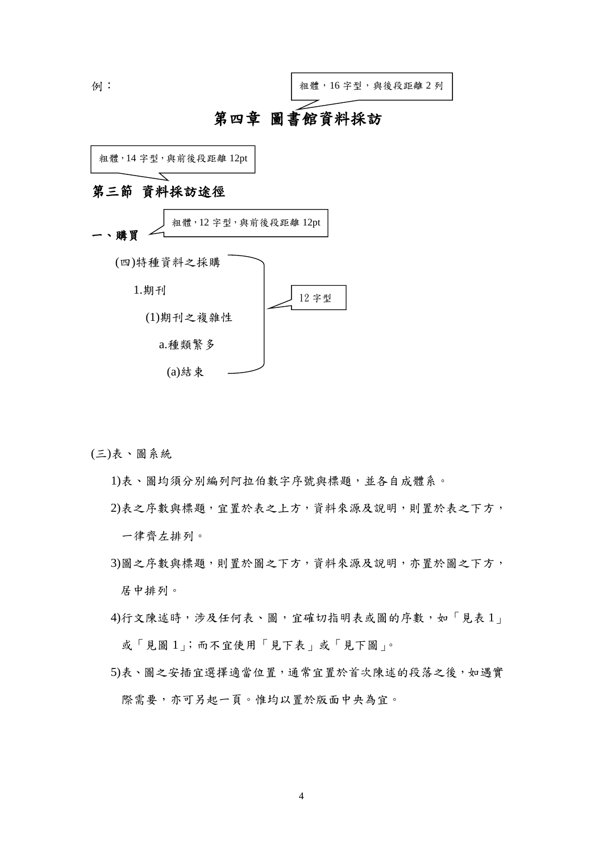

(三)表、圖系統

1)表、圖均須分別編列阿拉伯數字序號與標題,並各自成體系。

2)表之序數與標題,宜置於表之上方,資料來源及說明,則置於表之下方, 一律齊左排列。

- 3)圖之序數與標題,則置於圖之下方,資料來源及說明,亦置於圖之下方, 居中排列。
- 4)行文陳述時,涉及任何表、圖,宜確切指明表或圖的序數,如「見表 1」 或「見圖 1」;而不宜使用「見下表」或「見下圖」。
- 5)表、圖之安插宜選擇適當位置,通常宜置於首次陳述的段落之後,如遇實 際需要,亦可另起一頁。惟均以置於版面中央為宜。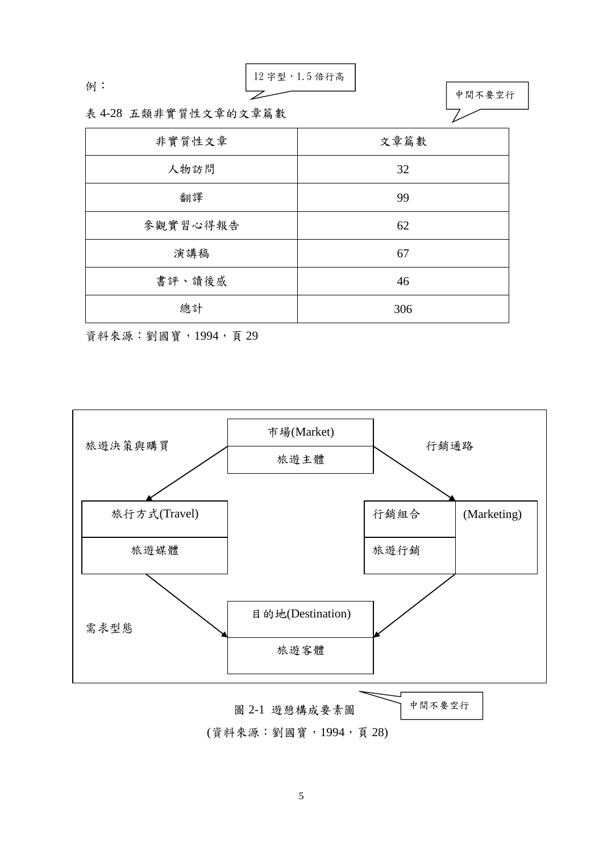$$
\mathbf{\left. \text{ }[n] \right. :}
$$

12 字型,1.5 倍行高



表 4-28 五類非實質性文章的文章篇數

| 非實質性文章   | 文章篇數 |
|----------|------|
| 人物訪問     | 32   |
| 翻譯       | 99   |
| 參觀實習心得報告 | 62   |
| 演講稿      | 67   |
| 書評、讀後感   | 46   |
| 總計       | 306  |

資料來源:劉國寶,1994,頁 29



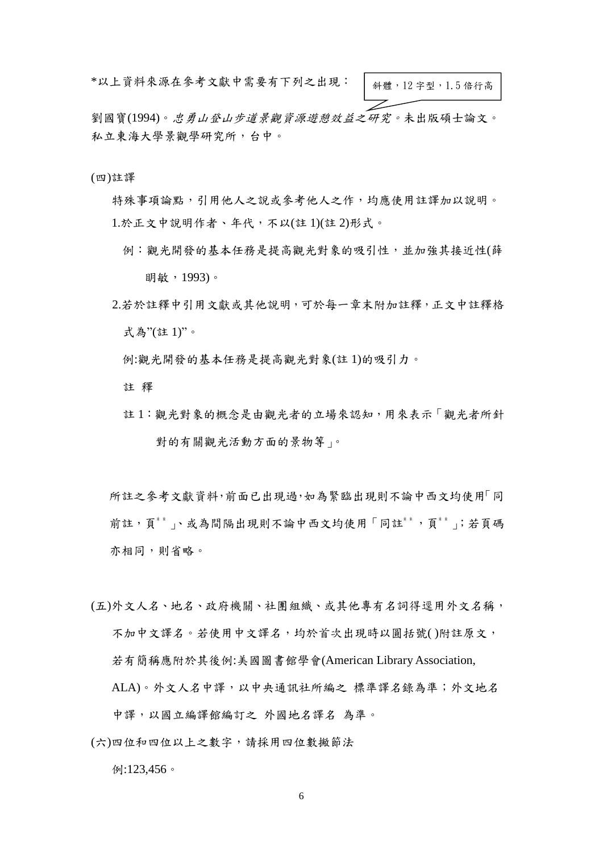\*以上資料來源在參考文獻中需要有下列之出現:

斜體,12 字型,1.5 倍行高

劉國寶(1994)。忠勇山登山步道景觀資源遊憩效益之研究。未出版碩士論文。 私立東海大學景觀學研究所,台中。

(四)註譯

特殊事項論點,引用他人之說或參考他人之作,均應使用註譯加以說明。 1.於正文中說明作者、年代,不以(註 1)(註 2)形式。

- 例:觀光開發的基本任務是提高觀光對象的吸引性,並加強其接近性(薛 明敏,1993)。
- 2.若於註釋中引用文獻或其他說明,可於每一章末附加註釋,正文中註釋格 式為"(註 1)"。
	- 例:觀光開發的基本任務是提高觀光對象(註 1)的吸引力。

註 釋

註 1:觀光對象的概念是由觀光者的立場來認知,用來表示「觀光者所針 對的有關觀光活動方面的景物等」。

所註之參考文獻資料,前面已出現過,如為緊臨出現則不論中西文均使用「同 前註,頁<sup>\*</sup>\* 、或為間隔出現則不論中西文均使用「同註<sup>\*\*</sup>,頁<sup>\*\*</sup>;若頁碼 亦相同,則省略。

- (五)外文人名、地名、政府機關、社團組織、或其他專有名詞得逕用外文名稱, 不加中文譯名。若使用中文譯名,均於首次出現時以圓括號( )附註原文, 若有簡稱應附於其後例:美國圖書館學會(American Library Association, ALA)。外文人名中譯,以中央通訊社所編之 標準譯名錄為準;外文地名
- (六)四位和四位以上之數字,請採用四位數撇節法

中譯,以國立編譯館編訂之 外國地名譯名 為準。

例:123,456。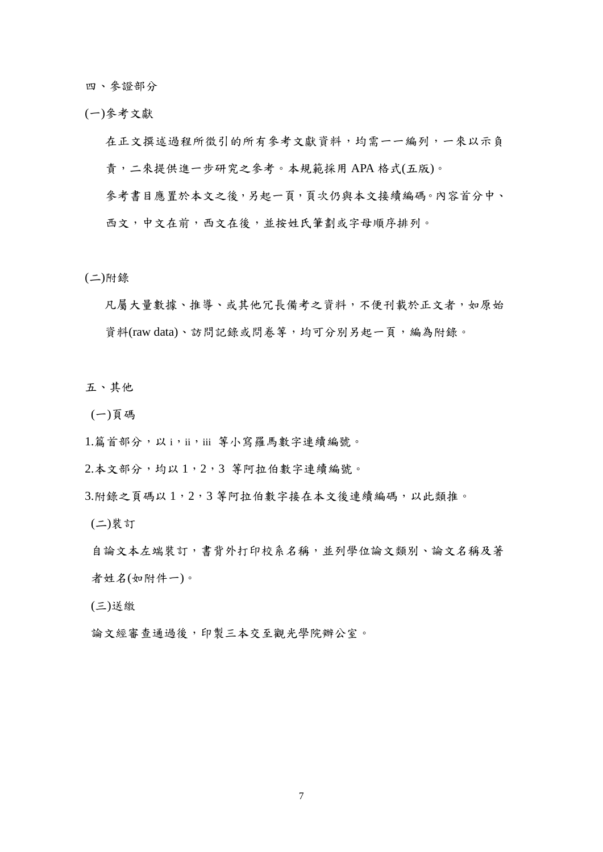四、參證部分

(一)參考文獻

在正文撰述過程所徵引的所有參考文獻資料,均需一一編列,一來以示負 責,二來提供進一步研究之參考。本規範採用 APA 格式(五版)。 參考書目應置於本文之後,另起一頁,頁次仍與本文接續編碼。內容首分中、 西文,中文在前,西文在後,並按姓氏筆劃或字母順序排列。

(二)附錄

凡屬大量數據、推導、或其他冗長備考之資料,不便刊載於正文者,如原始 資料(raw data)、訪問記錄或問卷等,均可分別另起一頁,編為附錄。

五、其他

(一)頁碼

1.篇首部分,以i,ii,iii 等小寫羅馬數字連續編號。

2.本文部分,均以 1,2,3 等阿拉伯數字連續編號。

3.附錄之頁碼以1,2,3 等阿拉伯數字接在本文後連續編碼,以此類推。

(二)裝訂

自論文本左端裝訂,書背外打印校系名稱,並列學位論文類別、論文名稱及著 者姓名(如附件一)。

(三)送繳

論文經審查通過後,印製三本交至觀光學院辦公室。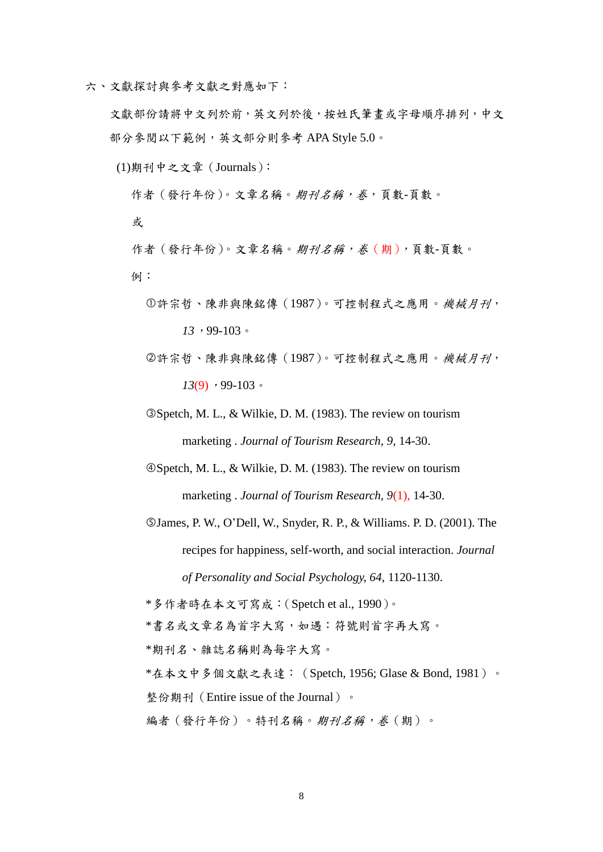六、文獻探討與參考文獻之對應如下:

文獻部份請將中文列於前,英文列於後,按姓氏筆畫或字母順序排列,中文 部分參閱以下範例,英文部分則參考 APA Style 5.0。

(1)期刊中之文章(Journals):

作者 (發行年份)。文章名稱。期刊名稱,卷,頁數-頁數。

或

作者 (發行年份)。文章名稱。期刊名稱,卷(期),頁數-頁數。 例:

- 許宗哲、陳非與陳銘傳(1987)。可控制程式之應用。機械月刊, *13*,99-103。
- 許宗哲、陳非與陳銘傳(1987)。可控制程式之應用。機械月刊, *13*(9),99-103。
- Spetch, M. L., & Wilkie, D. M. (1983). The review on tourism marketing . *Journal of Tourism Research, 9,* 14-30.

Spetch, M. L., & Wilkie, D. M. (1983). The review on tourism marketing . *Journal of Tourism Research, 9*(1), 14-30.

James, P. W., O'Dell, W., Snyder, R. P., & Williams. P. D. (2001). The recipes for happiness, self-worth, and social interaction. *Journal of Personality and Social Psychology, 64*, 1120-1130.

\*多作者時在本文可寫成:(Spetch et al., 1990)。

\*書名或文章名為首字大寫,如遇:符號則首字再大寫。

\*期刊名、雜誌名稱則為每字大寫。

\*在本文中多個文獻之表達:(Spetch, 1956; Glase & Bond, 1981)。

整份期刊(Entire issue of the Journal)。

編者(發行年份)。特刊名稱。*期刊名稱,卷*(期)。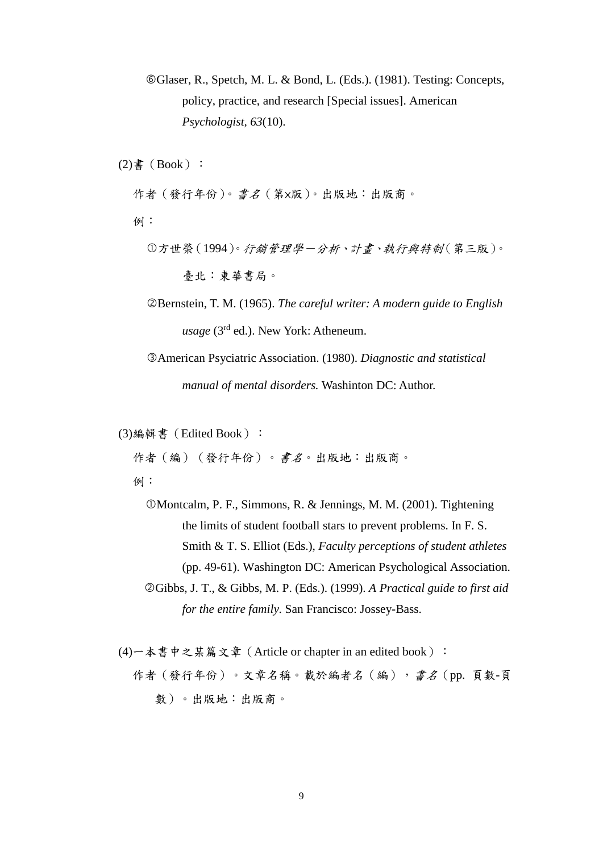Glaser, R., Spetch, M. L. & Bond, L. (Eds.). (1981). Testing: Concepts, policy, practice, and research [Special issues]. American *Psychologist, 63*(10).

 $(2)$ 書 (Book):

作者(發行年份)。書名(第×版)。出版地:出版商。

例:

- 方世榮(1994)。行銷管理學-分析、計畫、執行與特制(第三版)。 臺北:東華書局。
- Bernstein, T. M. (1965). *The careful writer: A modern guide to English usage* (3<sup>rd</sup> ed.). New York: Atheneum.

American Psyciatric Association. (1980). *Diagnostic and statistical manual of mental disorders.* Washinton DC: Author.

(3)編輯書(Edited Book):

作者(編)(發行年份)。書名。出版地:出版商。

例:

Montcalm, P. F., Simmons, R. & Jennings, M. M. (2001). Tightening the limits of student football stars to prevent problems. In F. S. Smith & T. S. Elliot (Eds.), *Faculty perceptions of student athletes*  (pp. 49-61). Washington DC: American Psychological Association. Gibbs, J. T., & Gibbs, M. P. (Eds.). (1999). *A Practical guide to first aid for the entire family.* San Francisco: Jossey-Bass.

(4) 一本書中之某篇文章 (Article or chapter in an edited book): 作者(發行年份)。文章名稱。載於編者名(編),書名(pp. 頁數-頁 數)。出版地:出版商。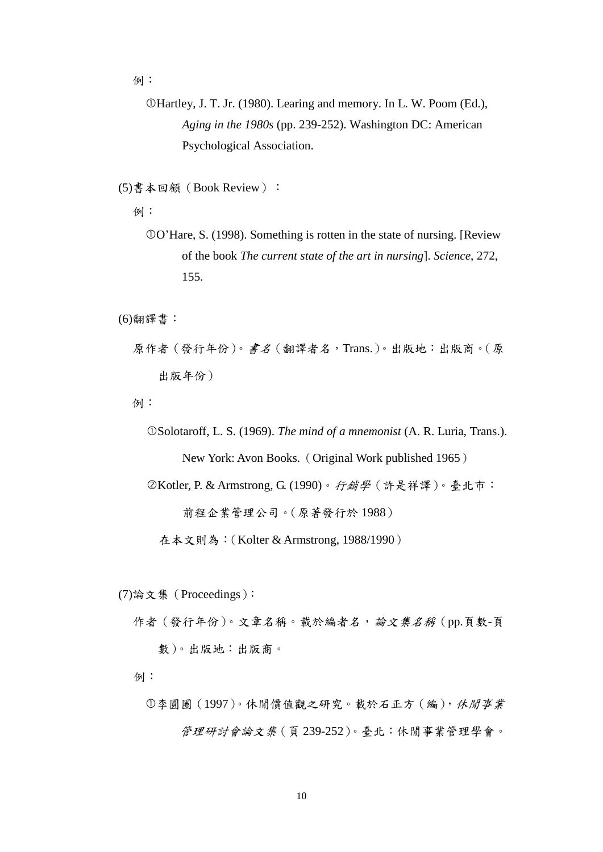例:

Hartley, J. T. Jr. (1980). Learing and memory. In L. W. Poom (Ed.), *Aging in the 1980s* (pp. 239-252). Washington DC: American Psychological Association.

(5)書本回顧(Book Review):

例:

O'Hare, S. (1998). Something is rotten in the state of nursing. [Review of the book *The current state of the art in nursing*]. *Science*, 272, 155.

(6)翻譯書:

原作者(發行年份)。書名(翻譯者名,Trans.)。出版地:出版商。(原 出版年份)

例:

Solotaroff, L. S. (1969). *The mind of a mnemonist* (A. R. Luria, Trans.). New York: Avon Books.(Original Work published 1965)

Kotler, P. & Armstrong, G. (1990)。行銷學(許是祥譯)。臺北市:

前程企業管理公司。(原著發行於 1988)

在本文則為:(Kolter & Armstrong, 1988/1990)

(7)論文集(Proceedings):

作者 (發行年份)。文章名稱。載於編者名,論文集名稱 (pp.頁數-頁 數)。出版地:出版商。

例:

李圓圈(1997)。休閒價值觀之研究。載於石正方(編),休閒事業 管理研討會論文集(頁 239-252)。臺北:休閒事業管理學會。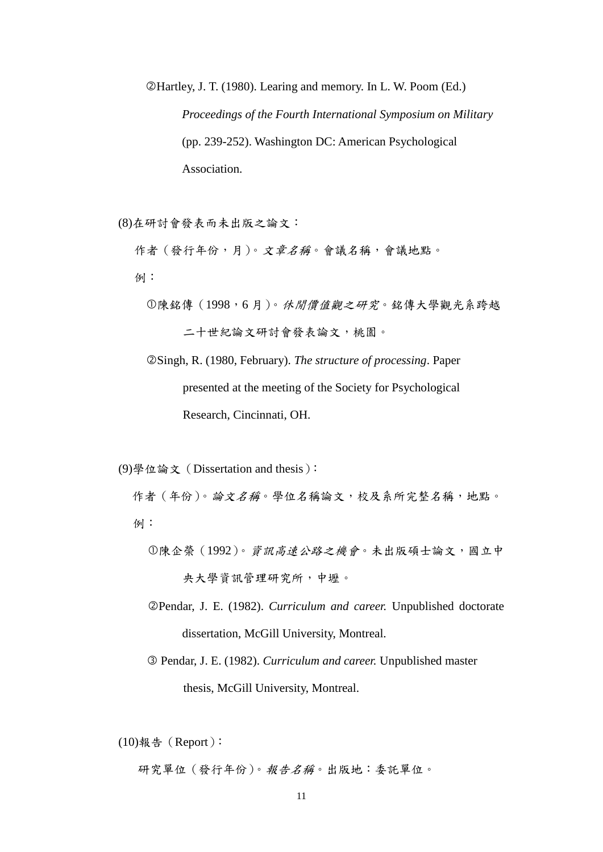Hartley, J. T. (1980). Learing and memory. In L. W. Poom (Ed.) *Proceedings of the Fourth International Symposium on Military*  (pp. 239-252). Washington DC: American Psychological Association.

(8)在研討會發表而未出版之論文:

作者 (發行年份,月)。文章名稱。會議名稱,會議地點。 例:

 陳銘傳(1998,6 月)。休閒價值觀之研究。銘傳大學觀光系跨越 二十世紀論文研討會發表論文,桃園。

 Singh, R. (1980, February). *The structure of processing*. Paper presented at the meeting of the Society for Psychological Research, Cincinnati, OH.

(9)學位論文(Dissertation and thesis):

作者 (年份)。論文名稱。學位名稱論文,校及系所完整名稱,地點。 例:

- 陳企榮(1992)。資訊高速公路之機會。未出版碩士論文,國立中 央大學資訊管理研究所,中壢。
- Pendar, J. E. (1982). *Curriculum and career.* Unpublished doctorate dissertation, McGill University, Montreal.
- Pendar, J. E. (1982). *Curriculum and career.* Unpublished master thesis, McGill University, Montreal.

 $(10)$ 報告 (Report):

研究單位(發行年份)。報告名稱。出版地:委託單位。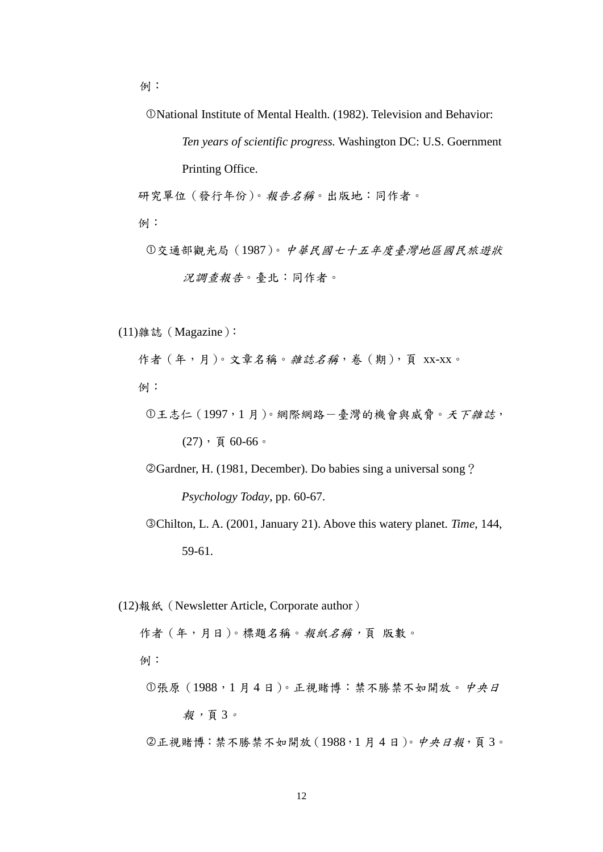例:

National Institute of Mental Health. (1982). Television and Behavior:

*Ten years of scientific progress.* Washington DC: U.S. Goernment

Printing Office.

研究單位(發行年份)。報告名稱。出版地:同作者。

例:

交通部觀光局(1987)。中華民國七十五年度臺灣地區國民旅遊狀 況調查報告。臺北:同作者。

(11)雜誌(Magazine):

作者(年,月)。文章名稱。雜誌名稱,卷(期),頁 xx-xx。 例:

 $0$ 王志仁 $(1997, 1$ 月)。網際網路一臺灣的機會與威脅。天下雜誌,  $(27)$ , 頁 60-66。

Gardner, H. (1981, December). Do babies sing a universal song? *Psychology Today*, pp. 60-67.

Chilton, L. A. (2001, January 21). Above this watery planet. *Time*, 144, 59-61.

(12)報紙(Newsletter Article, Corporate author)

作者(年,月日)。標題名稱。報紙名稱,頁版數。

例:

張原(1988,1 月 4 日)。正視賭博:禁不勝禁不如開放。中央日

報,頁 3。

正視賭博:禁不勝禁不如開放(1988,1 月 4 日)。中央日報,頁 3。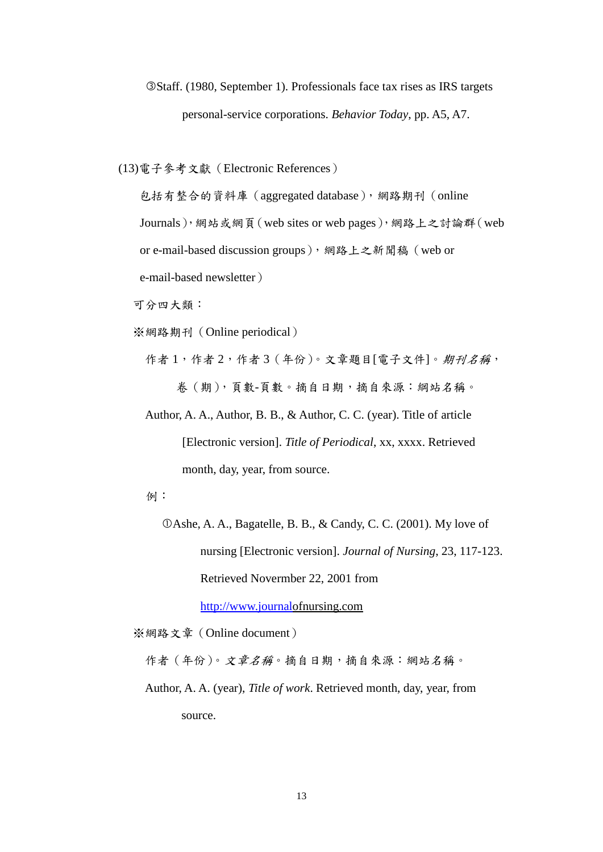# Staff. (1980, September 1). Professionals face tax rises as IRS targets personal-service corporations. *Behavior Today*, pp. A5, A7.

(13)電子參考文獻(Electronic References)

包括有整合的資料庫(aggregated database),網路期刊(online

Journals),網站或網頁(web sites or web pages),網路上之討論群(web

or e-mail-based discussion groups), 網路上之新聞稿 (web or

e-mail-based newsletter)

可分四大類:

※網路期刊(Online periodical)

作者1,作者2,作者3(年份)。文章題目[電子文件]。期刊名稱, 卷(期),頁數-頁數。摘自日期,摘自來源:綱站名稱。

 Author, A. A., Author, B. B., & Author, C. C. (year). Title of article [Electronic version]. *Title of Periodical*, xx, xxxx. Retrieved month, day, year, from source.

例:

Ashe, A. A., Bagatelle, B. B., & Candy, C. C. (2001). My love of nursing [Electronic version]. *Journal of Nursing*, 23, 117-123. Retrieved Novermber 22, 2001 from

[http://www.journalo](http://www.journal/)fnursing.com

※網路文章(Online document)

作者 (年份)。文章名稱。摘自日期, 摘自來源: 網站名稱。

 Author, A. A. (year), *Title of work*. Retrieved month, day, year, from source.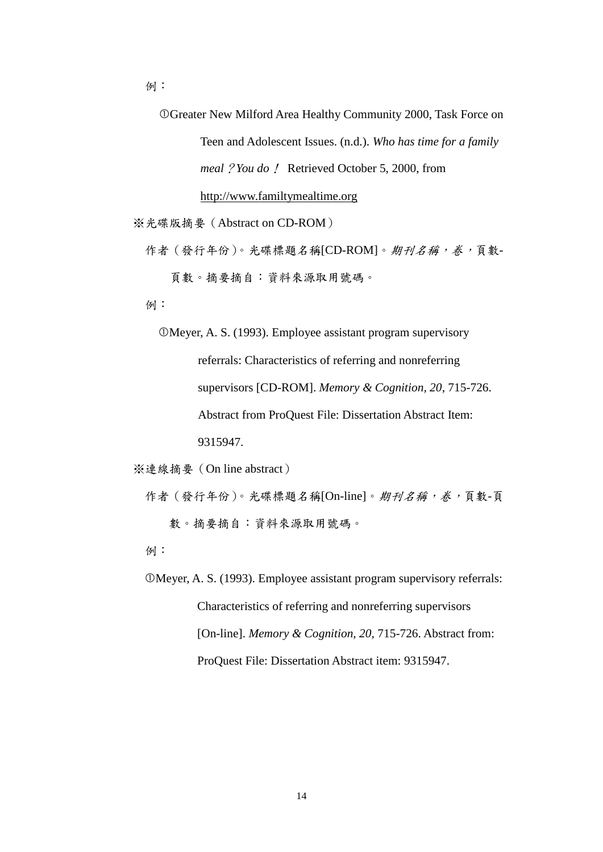Greater New Milford Area Healthy Community 2000, Task Force on Teen and Adolescent Issues. (n.d.). *Who has time for a family meal*?*You do*! Retrieved October 5, 2000, from http://www.familtymealtime.org

※光碟版摘要(Abstract on CD-ROM)

作者(發行年份)。光碟標題名稱[CD-ROM]。期刊名稱,卷,頁數-頁數。摘要摘自:資料來源取用號碼。

例:

Meyer, A. S. (1993). Employee assistant program supervisory referrals: Characteristics of referring and nonreferring supervisors [CD-ROM]. *Memory & Cognition, 20*, 715-726. Abstract from ProQuest File: Dissertation Abstract Item: 9315947.

※連線摘要(On line abstract)

作者(發行年份)。光碟標題名稱[On-line]。期刊名稱,卷,頁數-頁 數。摘要摘自:資料來源取用號碼。

例:

 Meyer, A. S. (1993). Employee assistant program supervisory referrals: Characteristics of referring and nonreferring supervisors [On-line]. *Memory & Cognition, 20, 715-726. Abstract from:* ProQuest File: Dissertation Abstract item: 9315947.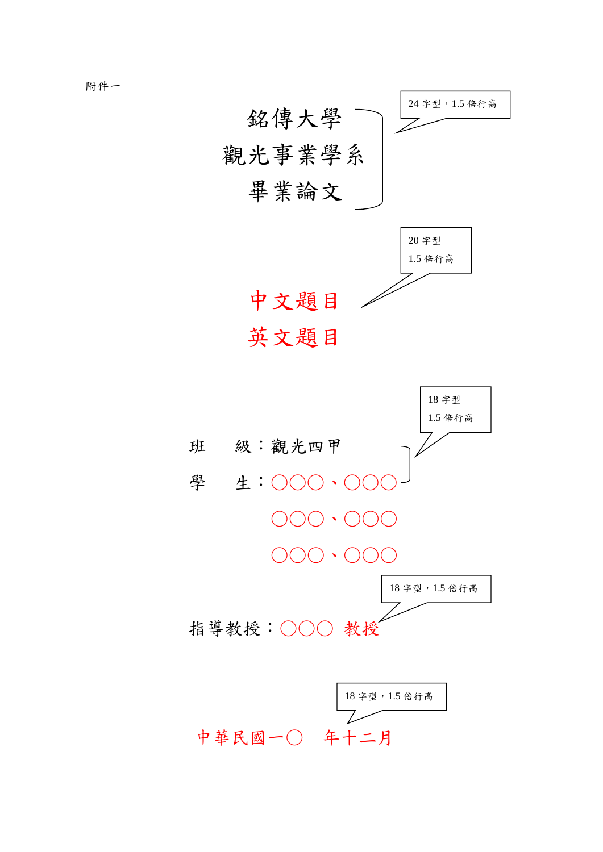

附件一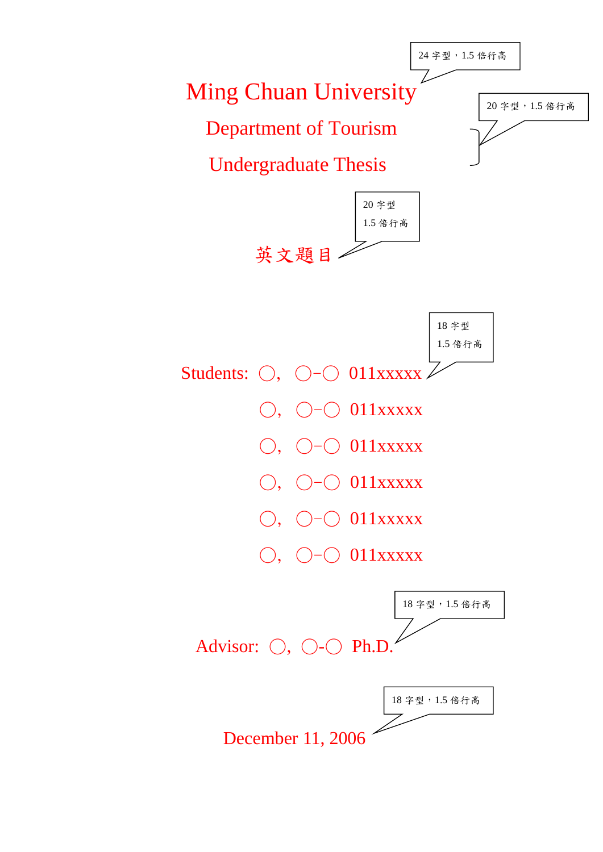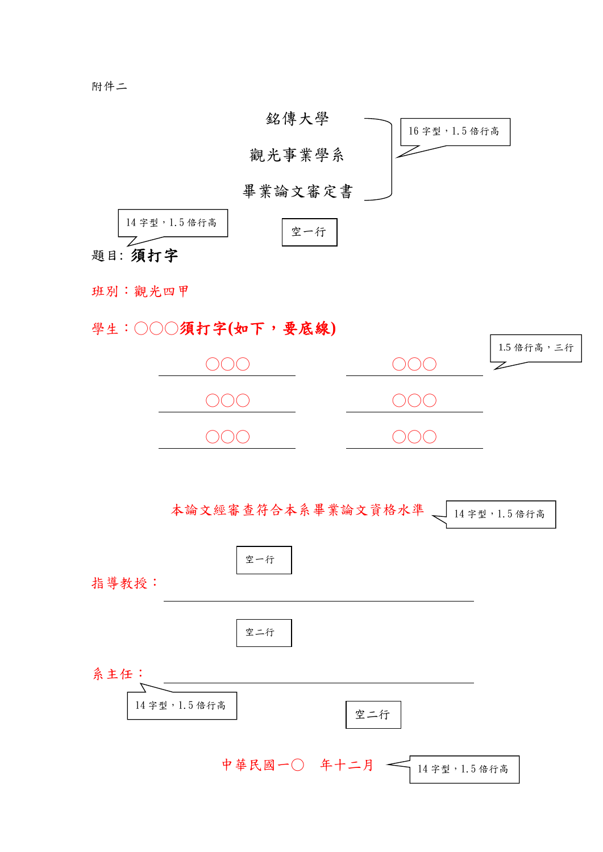

班別:觀光四甲

學生:○○○須打字**(**如下,要底線**)**

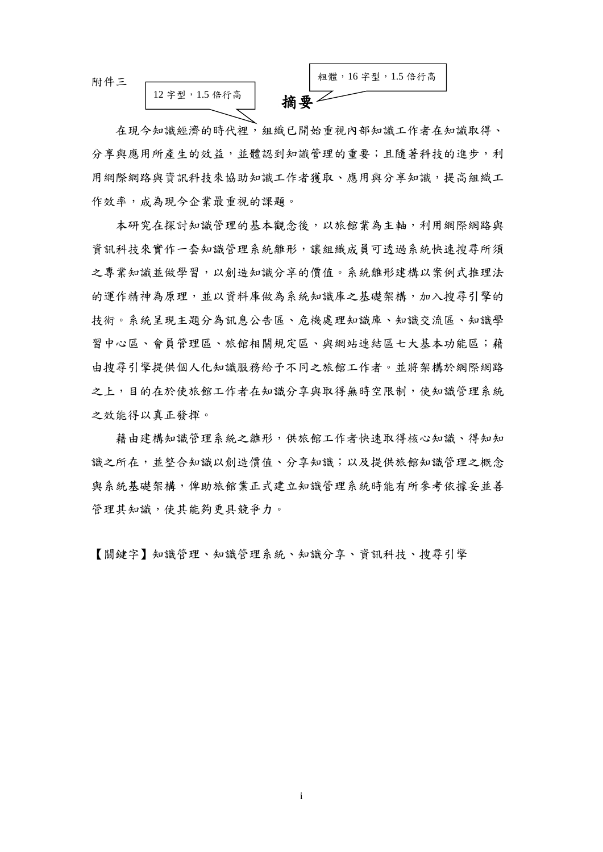附件三

12 字型,1.5 倍行高



在現今知識經濟的時代裡,組織已開始重視內部知識工作者在知識取得、 分享與應用所產生的效益,並體認到知識管理的重要;且隨著科技的進步,利 用網際網路與資訊科技來協助知識工作者獲取、應用與分享知識,提高組織工 作效率,成為現今企業最重視的課題。

本研究在探討知識管理的基本觀念後,以旅館業為主軸,利用網際網路與 資訊科技來實作一套知識管理系統雛形,讓組織成員可透過系統快速搜尋所須 之專業知識並做學習,以創造知識分享的價值。系統離形建構以案例式推理法 的運作精神為原理,並以資料庫做為系統知識庫之基礎架構,加入搜尋引擎的 技術。系統呈現主題分為訊息公告區、危機處理知識庫、知識交流區、知識學 習中心區、會員管理區、旅館相關規定區、與網站連結區七大基本功能區;藉 由搜尋引擎提供個人化知識服務給予不同之旅館工作者。並將架構於網際網路 之上,目的在於使旅館工作者在知識分享與取得無時空限制,使知識管理系統 之效能得以真正發揮。

藉由建構知識管理系統之離形,供旅館工作者快速取得核心知識、得知知 識之所在,並整合知識以創造價值、分享知識;以及提供旅館知識管理之概念 與系統基礎架構,俾助旅館業正式建立知識管理系統時能有所參考依據妥並善 管理其知識,使其能夠更具競爭力。

【關鍵字】知識管理、知識管理系統、知識分享、資訊科技、搜尋引擎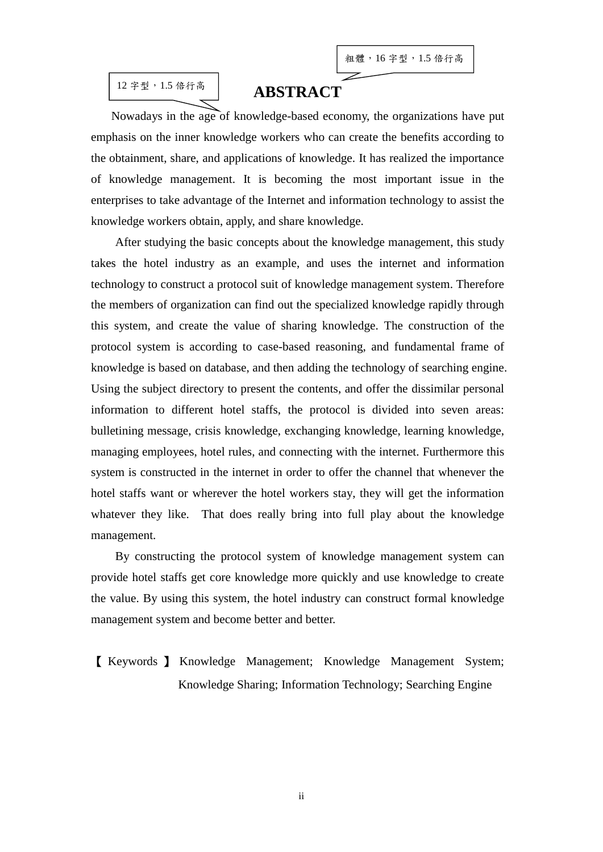### 12 字型,1.5 倍行高

## **ABSTRACT**

Nowadays in the age of knowledge-based economy, the organizations have put emphasis on the inner knowledge workers who can create the benefits according to the obtainment, share, and applications of knowledge. It has realized the importance of knowledge management. It is becoming the most important issue in the enterprises to take advantage of the Internet and information technology to assist the knowledge workers obtain, apply, and share knowledge.

After studying the basic concepts about the knowledge management, this study takes the hotel industry as an example, and uses the internet and information technology to construct a protocol suit of knowledge management system. Therefore the members of organization can find out the specialized knowledge rapidly through this system, and create the value of sharing knowledge. The construction of the protocol system is according to case-based reasoning, and fundamental frame of knowledge is based on database, and then adding the technology of searching engine. Using the subject directory to present the contents, and offer the dissimilar personal information to different hotel staffs, the protocol is divided into seven areas: bulletining message, crisis knowledge, exchanging knowledge, learning knowledge, managing employees, hotel rules, and connecting with the internet. Furthermore this system is constructed in the internet in order to offer the channel that whenever the hotel staffs want or wherever the hotel workers stay, they will get the information whatever they like. That does really bring into full play about the knowledge management.

By constructing the protocol system of knowledge management system can provide hotel staffs get core knowledge more quickly and use knowledge to create the value. By using this system, the hotel industry can construct formal knowledge management system and become better and better.

【 Keywords 】 Knowledge Management; Knowledge Management System; Knowledge Sharing; Information Technology; Searching Engine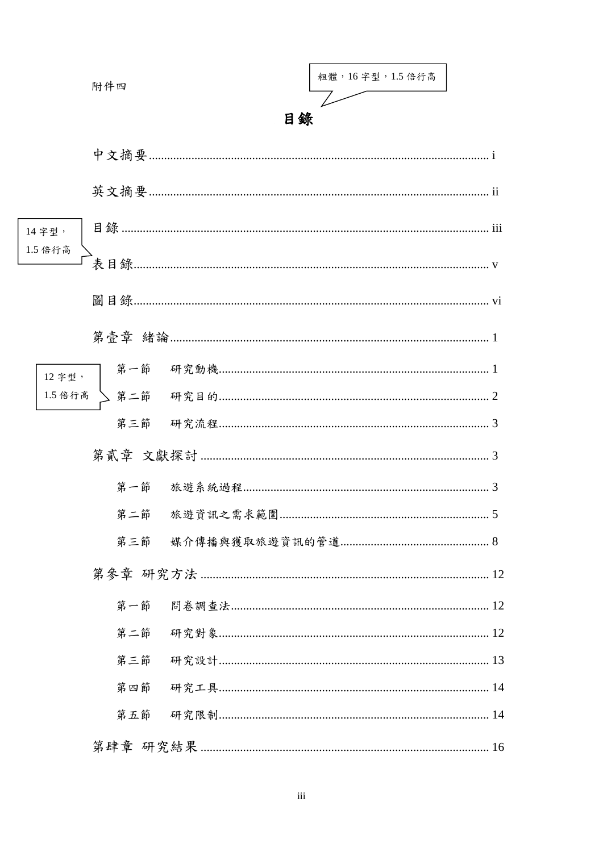|         | 附件四 |    | 粗體, 16字型, 1.5 倍行高 |  |
|---------|-----|----|-------------------|--|
|         |     | 目錄 |                   |  |
|         |     |    |                   |  |
|         |     |    |                   |  |
| 14 字型,  |     |    |                   |  |
| 1.5 倍行高 |     |    |                   |  |
|         |     |    |                   |  |
|         |     |    |                   |  |
| 12 字型,  |     |    |                   |  |
|         |     |    |                   |  |
|         | 第三節 |    |                   |  |
|         |     |    |                   |  |
|         |     |    |                   |  |
|         | 第三節 |    |                   |  |
|         | 第四節 |    |                   |  |
|         |     |    |                   |  |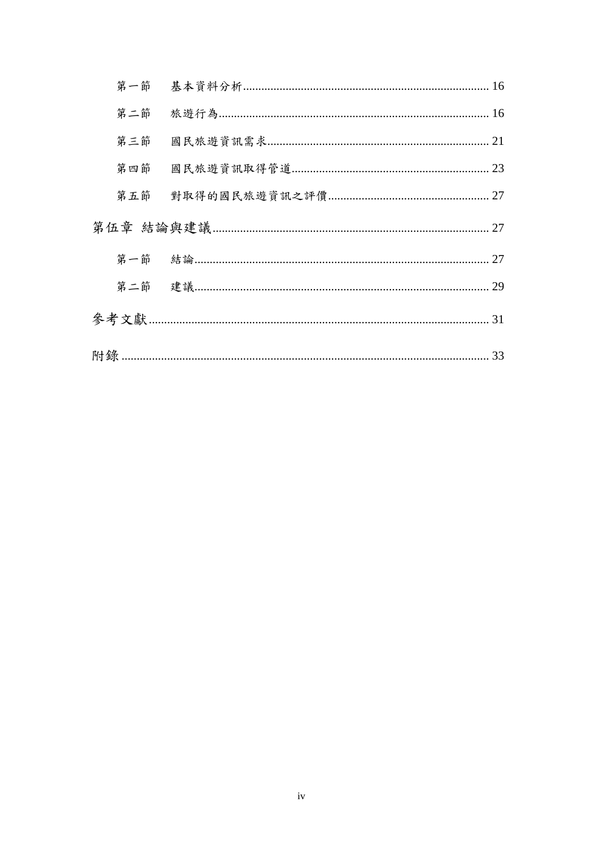| 第二節 |    |
|-----|----|
| 第三節 |    |
| 第四節 |    |
| 第五節 |    |
|     | 27 |
|     | 27 |
|     | 29 |
|     | 31 |
|     |    |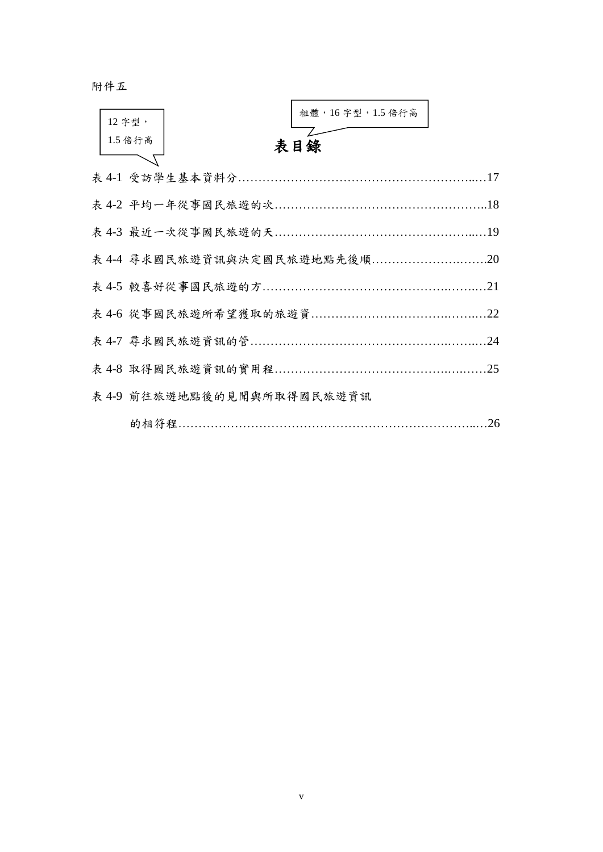附件五

| 12字型,   |                            | 粗體, 16字型, 1.5 倍行高 |     |
|---------|----------------------------|-------------------|-----|
| 1.5 倍行高 |                            | 表目錄               |     |
|         |                            |                   |     |
|         |                            |                   |     |
|         |                            |                   |     |
|         |                            |                   |     |
|         |                            |                   | .21 |
|         |                            |                   | .22 |
|         |                            |                   | .24 |
|         |                            |                   | 25  |
|         | 表 4-9 前往旅遊地點後的見聞與所取得國民旅遊資訊 |                   |     |
|         |                            |                   | .26 |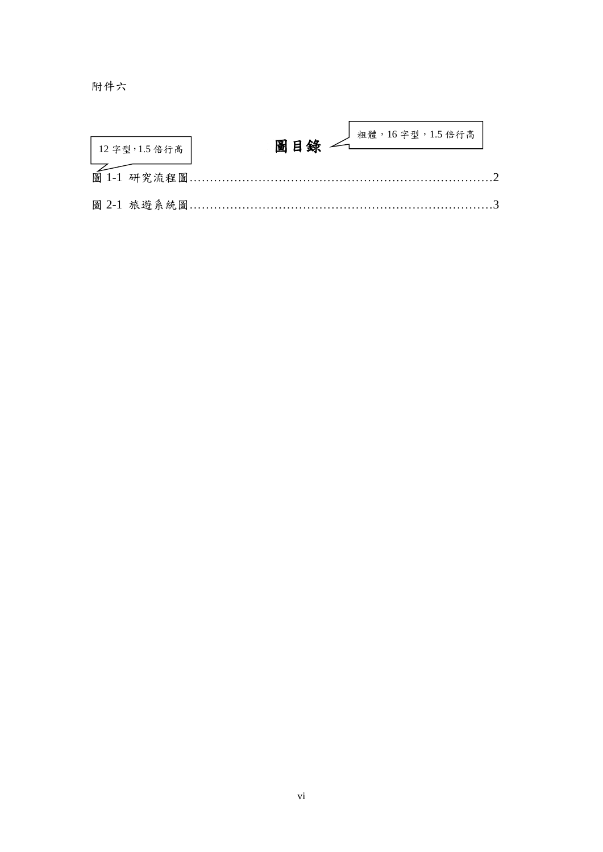附件六

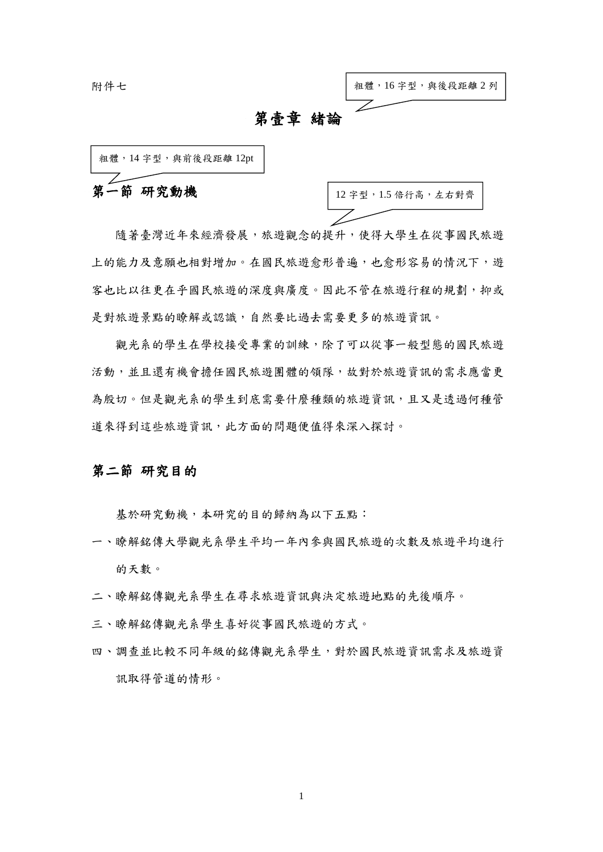附件七



### 第壹章 緒論

第一節 研究動機 粗體, 14 字型, 與前後段距離 12pt

12 字型,1.5 倍行高,左右對齊

隨著臺灣近年來經濟發展,旅遊觀念的提升,使得大學生在從事國民旅遊 上的能力及意願也相對增加。在國民旅遊愈形普遍,也愈形容易的情況下,遊 客也比以往更在乎國民旅遊的深度與廣度。因此不管在旅遊行程的規劃,抑或 是對旅遊景點的瞭解或認識,自然要比過去需要更多的旅遊資訊。

觀光系的學生在學校接受專業的訓練,除了可以從事一般型態的國民旅遊 活動,並且還有機會擔任國民旅遊團體的領隊,故對於旅遊資訊的需求應當更 為殷切。但是觀光系的學生到底需要什麼種類的旅遊資訊,且又是透過何種管 道來得到這些旅遊資訊,此方面的問題便值得來深入探討。

#### 第二節 研究目的

基於研究動機,本研究的目的歸納為以下五點:

- 一、瞭解銘傳大學觀光系學生平均一年內參與國民旅遊的次數及旅遊平均進行 的天數。
- 二、瞭解銘傳觀光系學生在尋求旅遊資訊與決定旅遊地點的先後順序。
- 三、瞭解銘傳觀光系學生喜好從事國民旅遊的方式。
- 四、調查並比較不同年級的銘傳觀光系學生,對於國民旅遊資訊需求及旅遊資 訊取得管道的情形。